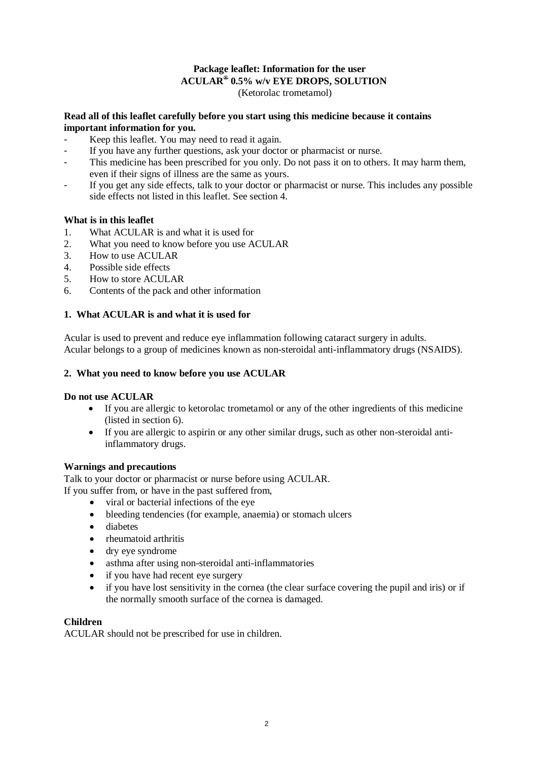### **Package leaflet: Information for the user ACULAR® 0.5% w/v EYE DROPS, SOLUTION** (Ketorolac trometamol)

## **Read all of this leaflet carefully before you start using this medicine because it contains important information for you.**

- Keep this leaflet. You may need to read it again.
- If you have any further questions, ask your doctor or pharmacist or nurse.
- This medicine has been prescribed for you only. Do not pass it on to others. It may harm them, even if their signs of illness are the same as yours.
- If you get any side effects, talk to your doctor or pharmacist or nurse. This includes any possible side effects not listed in this leaflet. See section 4.

## **What is in this leaflet**

- 1. What ACULAR is and what it is used for
- 2. What you need to know before you use ACULAR
- 3. How to use ACULAR
- 4. Possible side effects
- 5. How to store ACULAR
- 6. Contents of the pack and other information

## **1. What ACULAR is and what it is used for**

Acular is used to prevent and reduce eye inflammation following cataract surgery in adults. Acular belongs to a group of medicines known as non-steroidal anti-inflammatory drugs (NSAIDS).

## **2. What you need to know before you use ACULAR**

### **Do not use ACULAR**

- If you are allergic to ketorolac trometamol or any of the other ingredients of this medicine (listed in section 6).
- If you are allergic to aspirin or any other similar drugs, such as other non-steroidal antiinflammatory drugs.

### **Warnings and precautions**

Talk to your doctor or pharmacist or nurse before using ACULAR. If you suffer from, or have in the past suffered from,

- viral or bacterial infections of the eye
- bleeding tendencies (for example, anaemia) or stomach ulcers
- diabetes
- rheumatoid arthritis
- dry eye syndrome
- asthma after using non-steroidal anti-inflammatories
- if you have had recent eye surgery
- if you have lost sensitivity in the cornea (the clear surface covering the pupil and iris) or if the normally smooth surface of the cornea is damaged.

### **Children**

ACULAR should not be prescribed for use in children.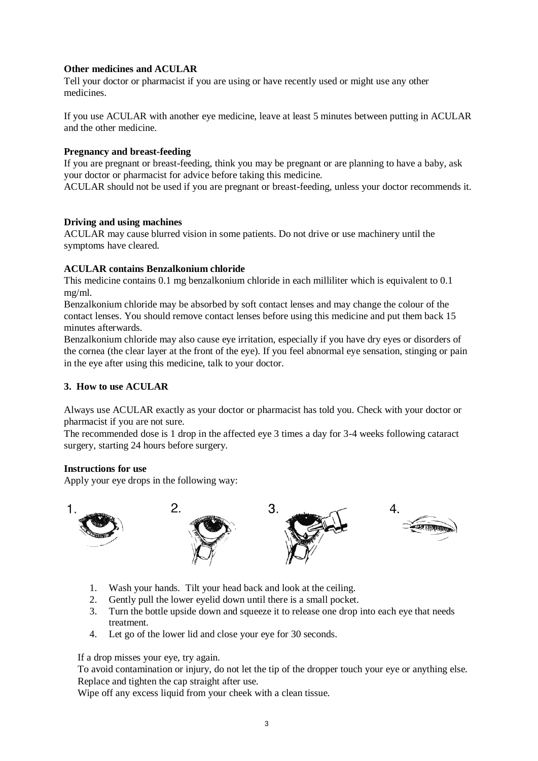# **Other medicines and ACULAR**

Tell your doctor or pharmacist if you are using or have recently used or might use any other medicines.

If you use ACULAR with another eye medicine, leave at least 5 minutes between putting in ACULAR and the other medicine.

### **Pregnancy and breast-feeding**

If you are pregnant or breast-feeding, think you may be pregnant or are planning to have a baby, ask your doctor or pharmacist for advice before taking this medicine.

ACULAR should not be used if you are pregnant or breast-feeding, unless your doctor recommends it.

### **Driving and using machines**

ACULAR may cause blurred vision in some patients. Do not drive or use machinery until the symptoms have cleared.

### **ACULAR contains Benzalkonium chloride**

This medicine contains 0.1 mg benzalkonium chloride in each milliliter which is equivalent to 0.1 mg/ml.

Benzalkonium chloride may be absorbed by soft contact lenses and may change the colour of the contact lenses. You should remove contact lenses before using this medicine and put them back 15 minutes afterwards.

Benzalkonium chloride may also cause eye irritation, especially if you have dry eyes or disorders of the cornea (the clear layer at the front of the eye). If you feel abnormal eye sensation, stinging or pain in the eye after using this medicine, talk to your doctor.

### **3. How to use ACULAR**

Always use ACULAR exactly as your doctor or pharmacist has told you. Check with your doctor or pharmacist if you are not sure.

The recommended dose is 1 drop in the affected eye 3 times a day for 3-4 weeks following cataract surgery, starting 24 hours before surgery.

### **Instructions for use**

Apply your eye drops in the following way:



- 1. Wash your hands. Tilt your head back and look at the ceiling.
- 2. Gently pull the lower eyelid down until there is a small pocket.
- 3. Turn the bottle upside down and squeeze it to release one drop into each eye that needs treatment.
- 4. Let go of the lower lid and close your eye for 30 seconds.

If a drop misses your eye, try again.

To avoid contamination or injury, do not let the tip of the dropper touch your eye or anything else. Replace and tighten the cap straight after use.

Wipe off any excess liquid from your cheek with a clean tissue.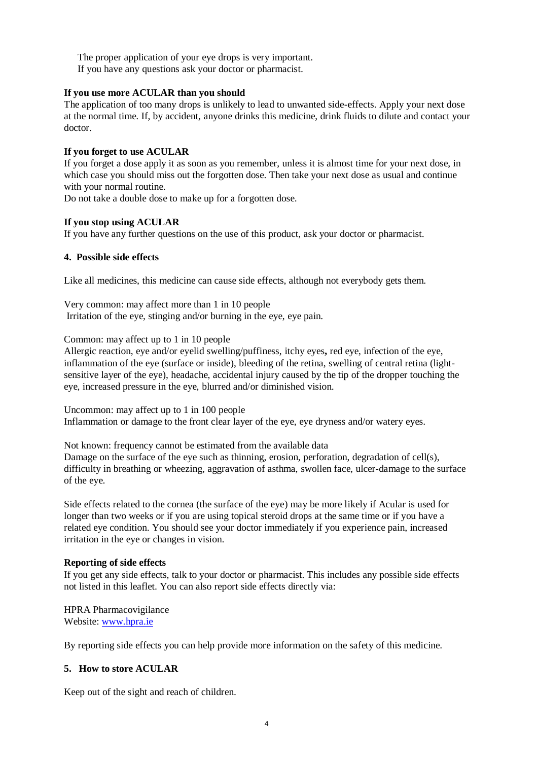The proper application of your eye drops is very important. If you have any questions ask your doctor or pharmacist.

### **If you use more ACULAR than you should**

The application of too many drops is unlikely to lead to unwanted side-effects. Apply your next dose at the normal time. If, by accident, anyone drinks this medicine, drink fluids to dilute and contact your doctor.

#### **If you forget to use ACULAR**

If you forget a dose apply it as soon as you remember, unless it is almost time for your next dose, in which case you should miss out the forgotten dose. Then take your next dose as usual and continue with your normal routine.

Do not take a double dose to make up for a forgotten dose.

#### **If you stop using ACULAR**

If you have any further questions on the use of this product, ask your doctor or pharmacist.

#### **4. Possible side effects**

Like all medicines, this medicine can cause side effects, although not everybody gets them.

Very common: may affect more than 1 in 10 people Irritation of the eye, stinging and/or burning in the eye, eye pain.

Common: may affect up to 1 in 10 people

Allergic reaction, eye and/or eyelid swelling/puffiness, itchy eyes**,** red eye, infection of the eye, inflammation of the eye (surface or inside), bleeding of the retina, swelling of central retina (lightsensitive layer of the eye), headache, accidental injury caused by the tip of the dropper touching the eye, increased pressure in the eye, blurred and/or diminished vision.

Uncommon: may affect up to 1 in 100 people Inflammation or damage to the front clear layer of the eye, eye dryness and/or watery eyes.

Not known: frequency cannot be estimated from the available data Damage on the surface of the eye such as thinning, erosion, perforation, degradation of cell(s), difficulty in breathing or wheezing, aggravation of asthma, swollen face, ulcer-damage to the surface of the eye.

Side effects related to the cornea (the surface of the eye) may be more likely if Acular is used for longer than two weeks or if you are using topical steroid drops at the same time or if you have a related eye condition. You should see your doctor immediately if you experience pain, increased irritation in the eye or changes in vision.

### **Reporting of side effects**

If you get any side effects, talk to your doctor or pharmacist. This includes any possible side effects not listed in this leaflet. You can also report side effects directly via:

HPRA Pharmacovigilance Website: [www.hpra.ie](http://www.hpra.ie/)

By reporting side effects you can help provide more information on the safety of this medicine.

### **5. How to store ACULAR**

Keep out of the sight and reach of children.